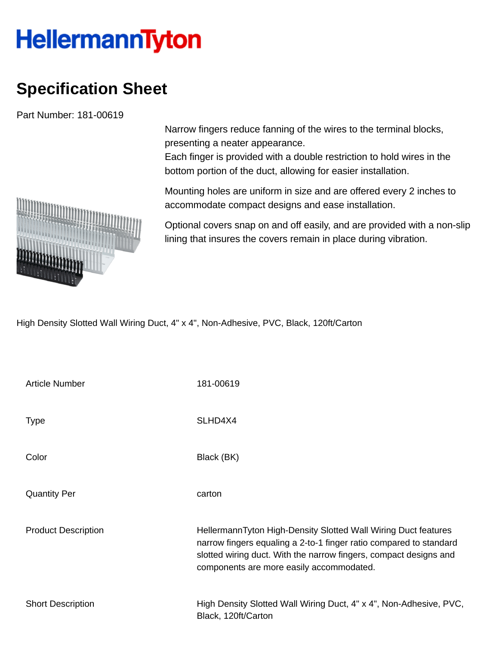## **HellermannTyton**

## **Specification Sheet**

Part Number: 181-00619

Narrow fingers reduce fanning of the wires to the terminal blocks, presenting a neater appearance.

Each finger is provided with a double restriction to hold wires in the bottom portion of the duct, allowing for easier installation.

Mounting holes are uniform in size and are offered every 2 inches to accommodate compact designs and ease installation.

Optional covers snap on and off easily, and are provided with a non-slip lining that insures the covers remain in place during vibration.

High Density Slotted Wall Wiring Duct, 4" x 4", Non-Adhesive, PVC, Black, 120ft/Carton

| <b>Article Number</b>      | 181-00619                                                                                                                                                                                                                                             |
|----------------------------|-------------------------------------------------------------------------------------------------------------------------------------------------------------------------------------------------------------------------------------------------------|
| <b>Type</b>                | SLHD4X4                                                                                                                                                                                                                                               |
| Color                      | Black (BK)                                                                                                                                                                                                                                            |
| <b>Quantity Per</b>        | carton                                                                                                                                                                                                                                                |
| <b>Product Description</b> | HellermannTyton High-Density Slotted Wall Wiring Duct features<br>narrow fingers equaling a 2-to-1 finger ratio compared to standard<br>slotted wiring duct. With the narrow fingers, compact designs and<br>components are more easily accommodated. |
| <b>Short Description</b>   | High Density Slotted Wall Wiring Duct, 4" x 4", Non-Adhesive, PVC,<br>Black, 120ft/Carton                                                                                                                                                             |

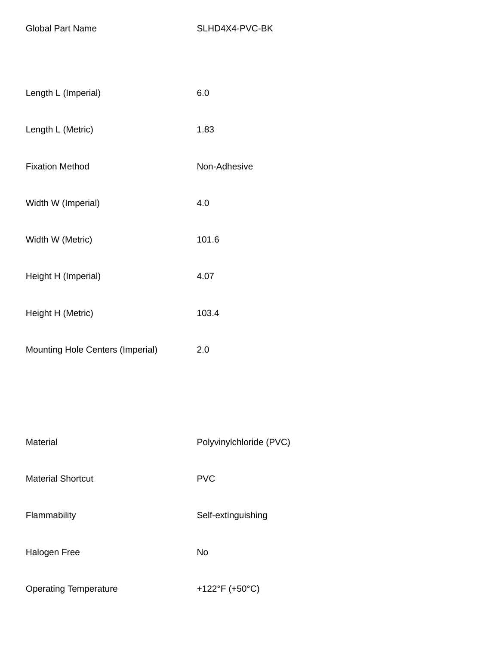| Length L (Imperial)              | 6.0                     |
|----------------------------------|-------------------------|
| Length L (Metric)                | 1.83                    |
| <b>Fixation Method</b>           | Non-Adhesive            |
| Width W (Imperial)               | 4.0                     |
| Width W (Metric)                 | 101.6                   |
| Height H (Imperial)              | 4.07                    |
| Height H (Metric)                | 103.4                   |
| Mounting Hole Centers (Imperial) | 2.0                     |
|                                  |                         |
|                                  |                         |
| Material                         | Polyvinylchloride (PVC) |
| <b>Material Shortcut</b>         | <b>PVC</b>              |
| Flammability                     | Self-extinguishing      |
| <b>Halogen Free</b>              | <b>No</b>               |
| <b>Operating Temperature</b>     | +122°F (+50°C)          |